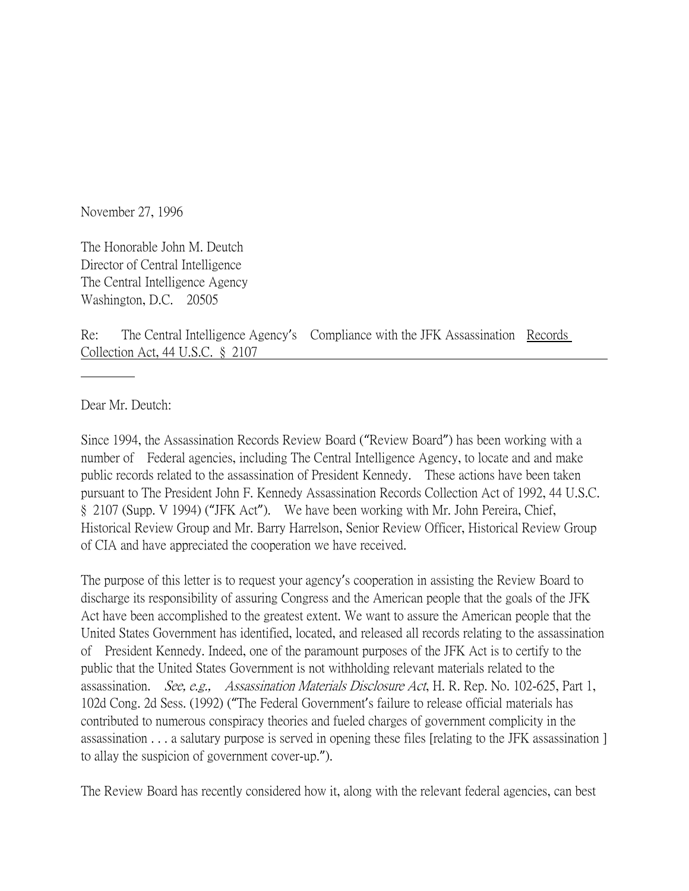November 27, 1996

The Honorable John M. Deutch Director of Central Intelligence The Central Intelligence Agency Washington, D.C. 20505

Re: The Central Intelligence Agency's Compliance with the JFK Assassination Records Collection Act, 44 U.S.C. § 2107

Dear Mr. Deutch:

Since 1994, the Assassination Records Review Board ("Review Board") has been working with a number of Federal agencies, including The Central Intelligence Agency, to locate and and make public records related to the assassination of President Kennedy. These actions have been taken pursuant to The President John F. Kennedy Assassination Records Collection Act of 1992, 44 U.S.C. § 2107 (Supp. V 1994) ("JFK Act"). We have been working with Mr. John Pereira, Chief, Historical Review Group and Mr. Barry Harrelson, Senior Review Officer, Historical Review Group of CIA and have appreciated the cooperation we have received.

The purpose of this letter is to request your agency's cooperation in assisting the Review Board to discharge its responsibility of assuring Congress and the American people that the goals of the JFK Act have been accomplished to the greatest extent. We want to assure the American people that the United States Government has identified, located, and released all records relating to the assassination of President Kennedy. Indeed, one of the paramount purposes of the JFK Act is to certify to the public that the United States Government is not withholding relevant materials related to the assassination. See, e.g., Assassination Materials Disclosure Act, H. R. Rep. No. 102-625, Part 1, 102d Cong. 2d Sess. (1992) ("The Federal Government's failure to release official materials has contributed to numerous conspiracy theories and fueled charges of government complicity in the assassination . . . a salutary purpose is served in opening these files [relating to the JFK assassination ] to allay the suspicion of government cover-up.").

The Review Board has recently considered how it, along with the relevant federal agencies, can best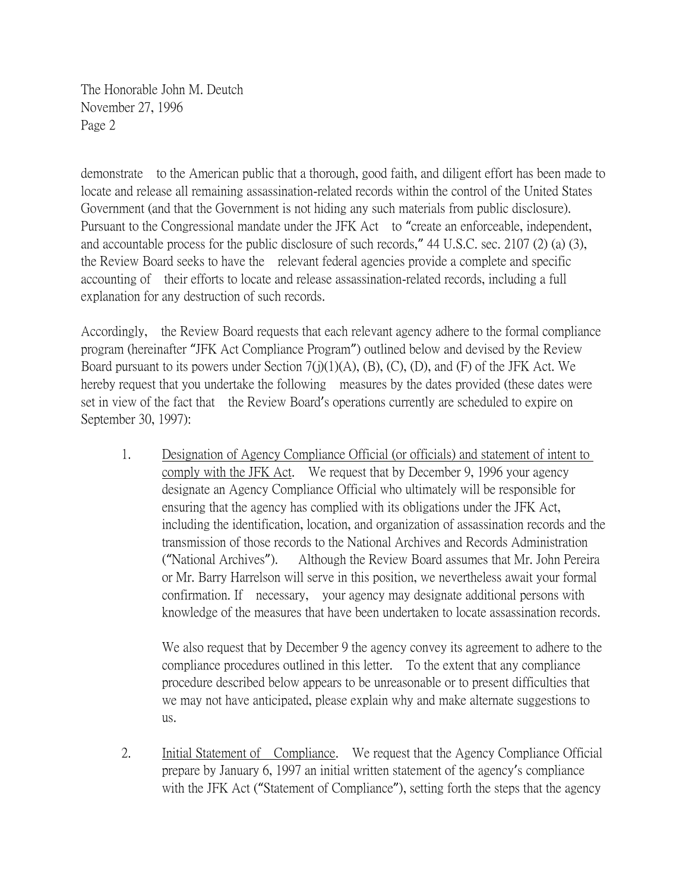demonstrate to the American public that a thorough, good faith, and diligent effort has been made to locate and release all remaining assassination-related records within the control of the United States Government (and that the Government is not hiding any such materials from public disclosure). Pursuant to the Congressional mandate under the JFK Act to "create an enforceable, independent, and accountable process for the public disclosure of such records," 44 U.S.C. sec. 2107 (2) (a) (3), the Review Board seeks to have the relevant federal agencies provide a complete and specific accounting of their efforts to locate and release assassination-related records, including a full explanation for any destruction of such records.

Accordingly, the Review Board requests that each relevant agency adhere to the formal compliance program (hereinafter "JFK Act Compliance Program") outlined below and devised by the Review Board pursuant to its powers under Section 7(j)(1)(A), (B), (C), (D), and (F) of the JFK Act. We hereby request that you undertake the following measures by the dates provided (these dates were set in view of the fact that the Review Board's operations currently are scheduled to expire on September 30, 1997):

1. Designation of Agency Compliance Official (or officials) and statement of intent to comply with the JFK Act. We request that by December 9, 1996 your agency designate an Agency Compliance Official who ultimately will be responsible for ensuring that the agency has complied with its obligations under the JFK Act, including the identification, location, and organization of assassination records and the transmission of those records to the National Archives and Records Administration ("National Archives"). Although the Review Board assumes that Mr. John Pereira or Mr. Barry Harrelson will serve in this position, we nevertheless await your formal confirmation. If necessary, your agency may designate additional persons with knowledge of the measures that have been undertaken to locate assassination records.

We also request that by December 9 the agency convey its agreement to adhere to the compliance procedures outlined in this letter. To the extent that any compliance procedure described below appears to be unreasonable or to present difficulties that we may not have anticipated, please explain why and make alternate suggestions to us.

2. Initial Statement of Compliance. We request that the Agency Compliance Official prepare by January 6, 1997 an initial written statement of the agency's compliance with the JFK Act ("Statement of Compliance"), setting forth the steps that the agency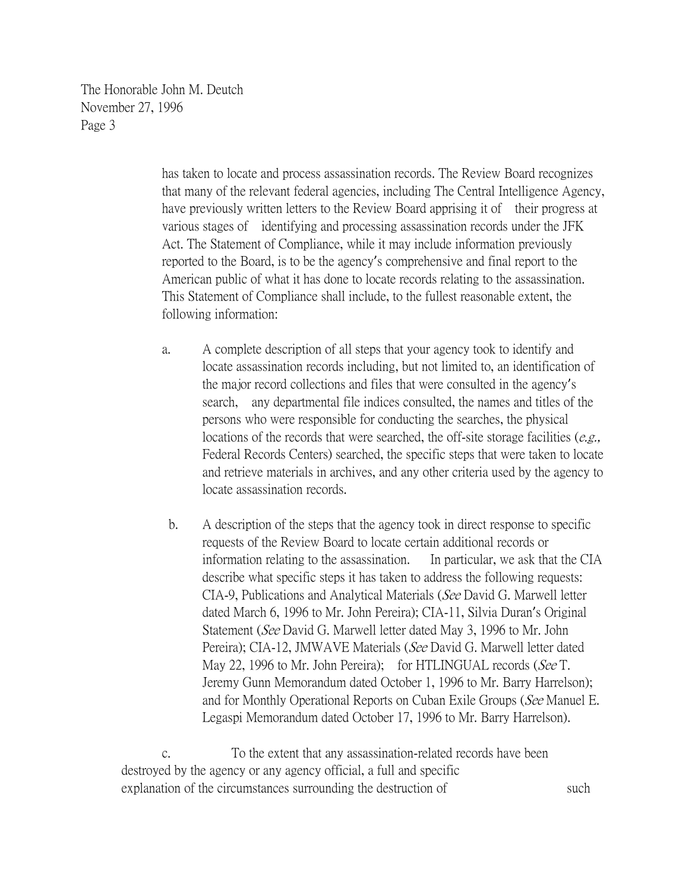> has taken to locate and process assassination records. The Review Board recognizes that many of the relevant federal agencies, including The Central Intelligence Agency, have previously written letters to the Review Board apprising it of their progress at various stages of identifying and processing assassination records under the JFK Act. The Statement of Compliance, while it may include information previously reported to the Board, is to be the agency's comprehensive and final report to the American public of what it has done to locate records relating to the assassination. This Statement of Compliance shall include, to the fullest reasonable extent, the following information:

- a. A complete description of all steps that your agency took to identify and locate assassination records including, but not limited to, an identification of the major record collections and files that were consulted in the agency's search, any departmental file indices consulted, the names and titles of the persons who were responsible for conducting the searches, the physical locations of the records that were searched, the off-site storage facilities (e.g., Federal Records Centers) searched, the specific steps that were taken to locate and retrieve materials in archives, and any other criteria used by the agency to locate assassination records.
	- b. A description of the steps that the agency took in direct response to specific requests of the Review Board to locate certain additional records or information relating to the assassination. In particular, we ask that the CIA describe what specific steps it has taken to address the following requests: CIA-9, Publications and Analytical Materials (See David G. Marwell letter dated March 6, 1996 to Mr. John Pereira); CIA-11, Silvia Duran's Original Statement (See David G. Marwell letter dated May 3, 1996 to Mr. John Pereira); CIA-12, JMWAVE Materials (See David G. Marwell letter dated May 22, 1996 to Mr. John Pereira); for HTLINGUAL records (See T. Jeremy Gunn Memorandum dated October 1, 1996 to Mr. Barry Harrelson); and for Monthly Operational Reports on Cuban Exile Groups (See Manuel E. Legaspi Memorandum dated October 17, 1996 to Mr. Barry Harrelson).

c. To the extent that any assassination-related records have been destroyed by the agency or any agency official, a full and specific explanation of the circumstances surrounding the destruction of such such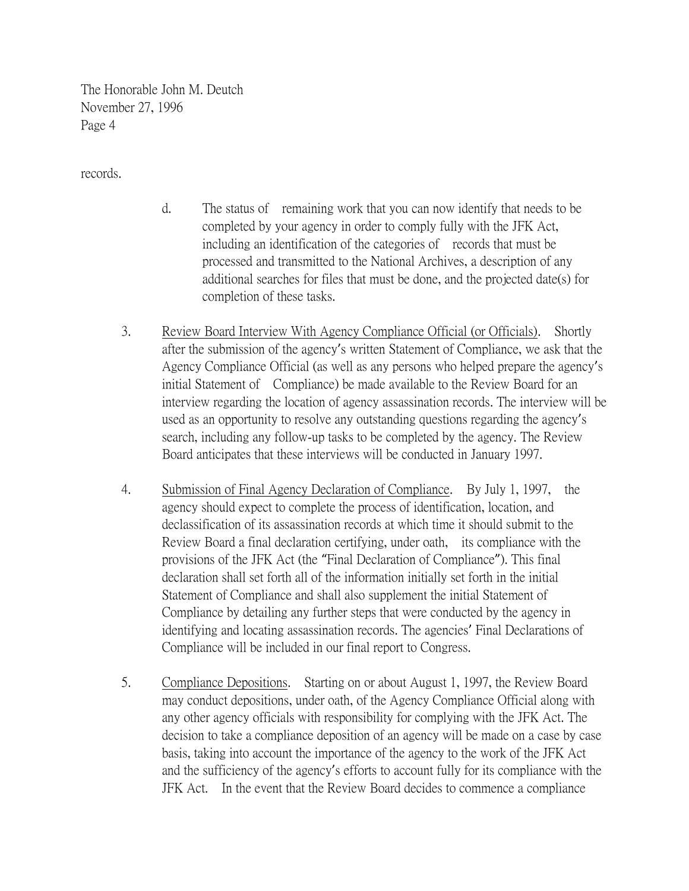records.

- d. The status of remaining work that you can now identify that needs to be completed by your agency in order to comply fully with the JFK Act, including an identification of the categories of records that must be processed and transmitted to the National Archives, a description of any additional searches for files that must be done, and the projected date(s) for completion of these tasks.
- 3. Review Board Interview With Agency Compliance Official (or Officials). Shortly after the submission of the agency's written Statement of Compliance, we ask that the Agency Compliance Official (as well as any persons who helped prepare the agency's initial Statement of Compliance) be made available to the Review Board for an interview regarding the location of agency assassination records. The interview will be used as an opportunity to resolve any outstanding questions regarding the agency's search, including any follow-up tasks to be completed by the agency. The Review Board anticipates that these interviews will be conducted in January 1997.
- 4. Submission of Final Agency Declaration of Compliance. By July 1, 1997, the agency should expect to complete the process of identification, location, and declassification of its assassination records at which time it should submit to the Review Board a final declaration certifying, under oath, its compliance with the provisions of the JFK Act (the "Final Declaration of Compliance"). This final declaration shall set forth all of the information initially set forth in the initial Statement of Compliance and shall also supplement the initial Statement of Compliance by detailing any further steps that were conducted by the agency in identifying and locating assassination records. The agencies' Final Declarations of Compliance will be included in our final report to Congress.
- 5. Compliance Depositions. Starting on or about August 1, 1997, the Review Board may conduct depositions, under oath, of the Agency Compliance Official along with any other agency officials with responsibility for complying with the JFK Act. The decision to take a compliance deposition of an agency will be made on a case by case basis, taking into account the importance of the agency to the work of the JFK Act and the sufficiency of the agency's efforts to account fully for its compliance with the JFK Act. In the event that the Review Board decides to commence a compliance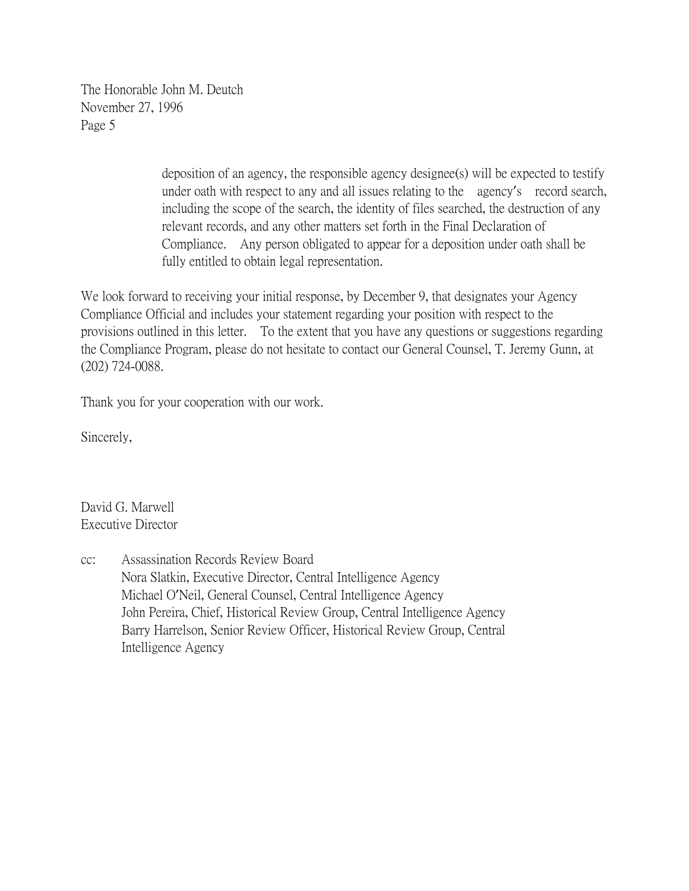> deposition of an agency, the responsible agency designee(s) will be expected to testify under oath with respect to any and all issues relating to the agency's record search, including the scope of the search, the identity of files searched, the destruction of any relevant records, and any other matters set forth in the Final Declaration of Compliance. Any person obligated to appear for a deposition under oath shall be fully entitled to obtain legal representation.

We look forward to receiving your initial response, by December 9, that designates your Agency Compliance Official and includes your statement regarding your position with respect to the provisions outlined in this letter. To the extent that you have any questions or suggestions regarding the Compliance Program, please do not hesitate to contact our General Counsel, T. Jeremy Gunn, at (202) 724-0088.

Thank you for your cooperation with our work.

Sincerely,

David G. Marwell Executive Director

cc: Assassination Records Review Board Nora Slatkin, Executive Director, Central Intelligence Agency Michael O'Neil, General Counsel, Central Intelligence Agency John Pereira, Chief, Historical Review Group, Central Intelligence Agency Barry Harrelson, Senior Review Officer, Historical Review Group, Central Intelligence Agency